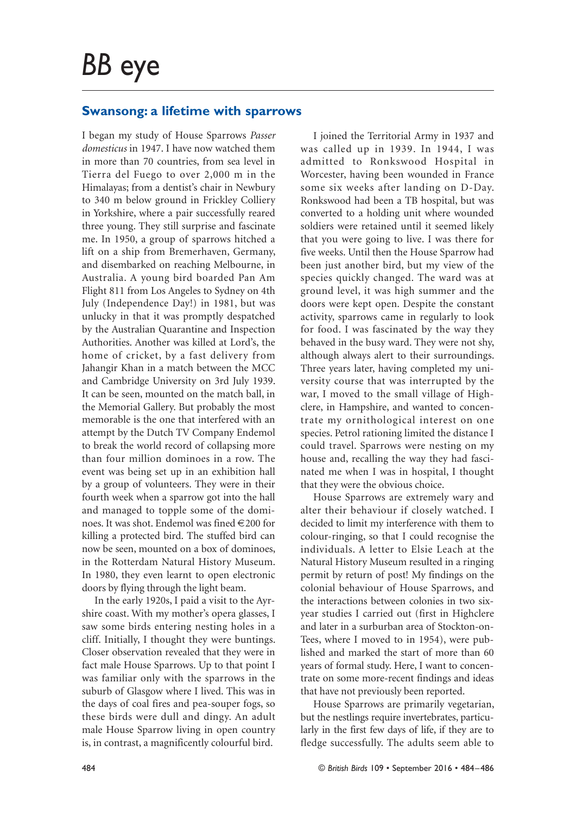## **Swansong: a lifetime with sparrows**

I began my study of House Sparrows *Passer domesticus* in 1947. I have now watched them in more than 70 countries, from sea level in Tierra del Fuego to over 2,000 m in the Himalayas; from a dentist's chair in Newbury to 340 m below ground in Frickley Colliery in Yorkshire, where a pair successfully reared three young. They still surprise and fascinate me. In 1950, a group of sparrows hitched a lift on a ship from Bremerhaven, Germany, and disembarked on reaching Melbourne, in Australia. A young bird boarded Pan Am Flight 811 from Los Angeles to Sydney on 4th July (Independence Day!) in 1981, but was unlucky in that it was promptly despatched by the Australian Quarantine and Inspection Authorities. Another was killed at Lord's, the home of cricket, by a fast delivery from Jahangir Khan in a match between the MCC and Cambridge University on 3rd July 1939. It can be seen, mounted on the match ball, in the Memorial Gallery. But probably the most memorable is the one that interfered with an attempt by the Dutch TV Company Endemol to break the world record of collapsing more than four million dominoes in a row. The event was being set up in an exhibition hall by a group of volunteers. They were in their fourth week when a sparrow got into the hall and managed to topple some of the dominoes. It was shot. Endemol was fined €200 for killing a protected bird. The stuffed bird can now be seen, mounted on a box of dominoes, in the Rotterdam Natural History Museum. In 1980, they even learnt to open electronic doors by flying through the light beam.

In the early 1920s, I paid a visit to the Ayrshire coast. With my mother's opera glasses, I saw some birds entering nesting holes in a cliff. Initially, I thought they were buntings. Closer observation revealed that they were in fact male House Sparrows. Up to that point I was familiar only with the sparrows in the suburb of Glasgow where I lived. This was in the days of coal fires and pea-souper fogs, so these birds were dull and dingy. An adult male House Sparrow living in open country is, in contrast, a magnificently colourful bird.

I joined the Territorial Army in 1937 and was called up in 1939. In 1944, I was admitted to Ronkswood Hospital in Worcester, having been wounded in France some six weeks after landing on D-Day. Ronkswood had been a TB hospital, but was converted to a holding unit where wounded soldiers were retained until it seemed likely that you were going to live. I was there for five weeks. Until then the House Sparrow had been just another bird, but my view of the species quickly changed. The ward was at ground level, it was high summer and the doors were kept open. Despite the constant activity, sparrows came in regularly to look for food. I was fascinated by the way they behaved in the busy ward. They were not shy, although always alert to their surroundings. Three years later, having completed my university course that was interrupted by the war, I moved to the small village of Highclere, in Hampshire, and wanted to concentrate my ornithological interest on one species. Petrol rationing limited the distance I could travel. Sparrows were nesting on my house and, recalling the way they had fascinated me when I was in hospital, I thought that they were the obvious choice.

House Sparrows are extremely wary and alter their behaviour if closely watched. I decided to limit my interference with them to colour-ringing, so that I could recognise the individuals. A letter to Elsie Leach at the Natural History Museum resulted in a ringing permit by return of post! My findings on the colonial behaviour of House Sparrows, and the interactions between colonies in two sixyear studies I carried out (first in Highclere and later in a surburban area of Stockton-on-Tees, where I moved to in 1954), were published and marked the start of more than 60 years of formal study. Here, I want to concentrate on some more-recent findings and ideas that have not previously been reported.

House Sparrows are primarily vegetarian, but the nestlings require invertebrates, particularly in the first few days of life, if they are to fledge successfully. The adults seem able to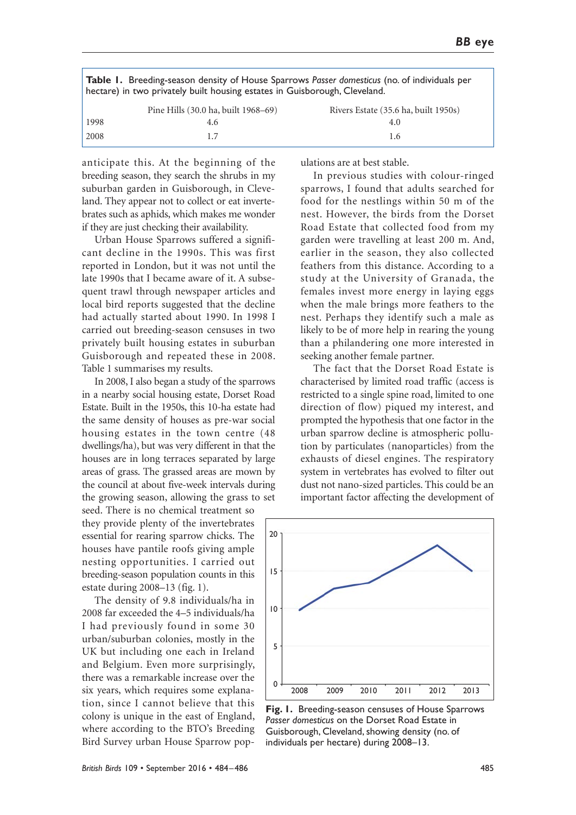|      | <b>Table 1.</b> Breeding-season density of House Sparrows Passer domesticus (no. of individuals per<br>hectare) in two privately built housing estates in Guisborough, Cleveland. |                                      |  |
|------|-----------------------------------------------------------------------------------------------------------------------------------------------------------------------------------|--------------------------------------|--|
|      | Pine Hills (30.0 ha, built 1968–69)                                                                                                                                               | Rivers Estate (35.6 ha, built 1950s) |  |
| 1998 | 4.6                                                                                                                                                                               | 4.0                                  |  |
| 2008 |                                                                                                                                                                                   | L.6                                  |  |

anticipate this. At the beginning of the breeding season, they search the shrubs in my suburban garden in Guisborough, in Cleveland. They appear not to collect or eat invertebrates such as aphids, which makes me wonder if they are just checking their availability.

Urban House Sparrows suffered a significant decline in the 1990s. This was first reported in London, but it was not until the late 1990s that I became aware of it. A subsequent trawl through newspaper articles and local bird reports suggested that the decline had actually started about 1990. In 1998 I carried out breeding-season censuses in two privately built housing estates in suburban Guisborough and repeated these in 2008. Table 1 summarises my results.

In 2008, I also began a study of the sparrows in a nearby social housing estate, Dorset Road Estate. Built in the 1950s, this 10-ha estate had the same density of houses as pre-war social housing estates in the town centre (48 dwellings/ha), but was very different in that the houses are in long terraces separated by large areas of grass. The grassed areas are mown by the council at about five-week intervals during the growing season, allowing the grass to set

seed. There is no chemical treatment so they provide plenty of the invertebrates essential for rearing sparrow chicks. The houses have pantile roofs giving ample nesting opportunities. I carried out breeding-season population counts in this estate during 2008–13 (fig. 1).

The density of 9.8 individuals/ha in 2008 far exceeded the 4–5 individuals/ha I had previously found in some 30 urban/suburban colonies, mostly in the UK but including one each in Ireland and Belgium. Even more surprisingly, there was a remarkable increase over the six years, which requires some explanation, since I cannot believe that this colony is unique in the east of England, where according to the BTO's Breeding Bird Survey urban House Sparrow populations are at best stable.

In previous studies with colour-ringed sparrows, I found that adults searched for food for the nestlings within 50 m of the nest. However, the birds from the Dorset Road Estate that collected food from my garden were travelling at least 200 m. And, earlier in the season, they also collected feathers from this distance. According to a study at the University of Granada, the females invest more energy in laying eggs when the male brings more feathers to the nest. Perhaps they identify such a male as likely to be of more help in rearing the young than a philandering one more interested in seeking another female partner.

The fact that the Dorset Road Estate is characterised by limited road traffic (access is restricted to a single spine road, limited to one direction of flow) piqued my interest, and prompted the hypothesis that one factor in the urban sparrow decline is atmospheric pollution by particulates (nanoparticles) from the exhausts of diesel engines. The respiratory system in vertebrates has evolved to filter out dust not nano-sized particles. This could be an important factor affecting the development of



**Fig. 1.** Breeding-season censuses of House Sparrows *Passer domesticus* on the Dorset Road Estate in Guisborough, Cleveland, showing density (no. of individuals per hectare) during 2008–13.